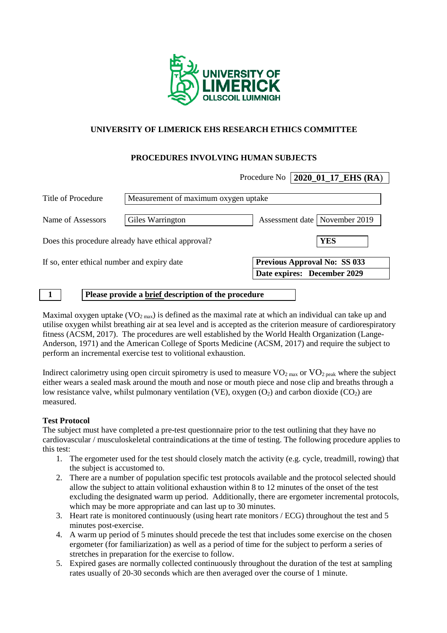

# **UNIVERSITY OF LIMERICK EHS RESEARCH ETHICS COMMITTEE**

# **PROCEDURES INVOLVING HUMAN SUBJECTS**

|                                             |                                                     | 2020_01_17_EHS (RA)<br>Procedure No |  |  |  |  |  |
|---------------------------------------------|-----------------------------------------------------|-------------------------------------|--|--|--|--|--|
| Title of Procedure                          | Measurement of maximum oxygen uptake                |                                     |  |  |  |  |  |
| Name of Assessors                           | Giles Warrington                                    | Assessment date   November 2019     |  |  |  |  |  |
|                                             | Does this procedure already have ethical approval?  | <b>YES</b>                          |  |  |  |  |  |
| If so, enter ethical number and expiry date |                                                     | <b>Previous Approval No: SS 033</b> |  |  |  |  |  |
|                                             |                                                     | Date expires: December 2029         |  |  |  |  |  |
|                                             | Please provide a brief description of the procedure |                                     |  |  |  |  |  |

Maximal oxygen uptake  $(VO_{2 \max})$  is defined as the maximal rate at which an individual can take up and utilise oxygen whilst breathing air at sea level and is accepted as the criterion measure of cardiorespiratory fitness (ACSM, 2017). The procedures are well established by the World Health Organization (Lange-Anderson, 1971) and the American College of Sports Medicine (ACSM, 2017) and require the subject to perform an incremental exercise test to volitional exhaustion.

Indirect calorimetry using open circuit spirometry is used to measure  $VO_{2 \text{ max}}$  or  $VO_{2 \text{ peak}}$  where the subject either wears a sealed mask around the mouth and nose or mouth piece and nose clip and breaths through a low resistance valve, whilst pulmonary ventilation (VE), oxygen  $(O_2)$  and carbon dioxide (CO<sub>2</sub>) are measured.

### **Test Protocol**

The subject must have completed a pre-test questionnaire prior to the test outlining that they have no cardiovascular / musculoskeletal contraindications at the time of testing. The following procedure applies to this test:

- 1. The ergometer used for the test should closely match the activity (e.g. cycle, treadmill, rowing) that the subject is accustomed to.
- 2. There are a number of population specific test protocols available and the protocol selected should allow the subject to attain volitional exhaustion within 8 to 12 minutes of the onset of the test excluding the designated warm up period. Additionally, there are ergometer incremental protocols, which may be more appropriate and can last up to 30 minutes.
- 3. Heart rate is monitored continuously (using heart rate monitors / ECG) throughout the test and 5 minutes post-exercise.
- 4. A warm up period of 5 minutes should precede the test that includes some exercise on the chosen ergometer (for familiarization) as well as a period of time for the subject to perform a series of stretches in preparation for the exercise to follow.
- 5. Expired gases are normally collected continuously throughout the duration of the test at sampling rates usually of 20-30 seconds which are then averaged over the course of 1 minute.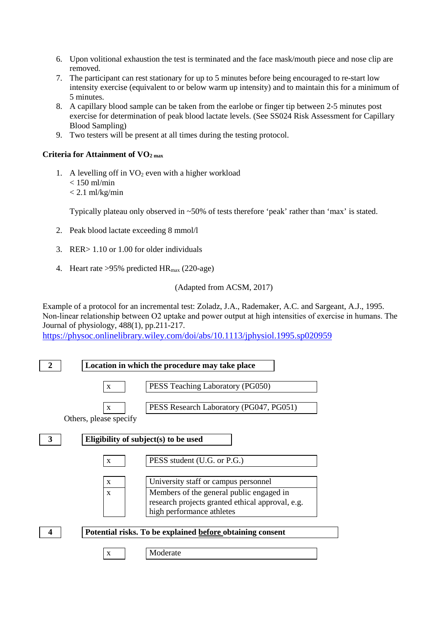- 6. Upon volitional exhaustion the test is terminated and the face mask/mouth piece and nose clip are removed.
- 7. The participant can rest stationary for up to 5 minutes before being encouraged to re-start low intensity exercise (equivalent to or below warm up intensity) and to maintain this for a minimum of 5 minutes.
- 8. A capillary blood sample can be taken from the earlobe or finger tip between 2-5 minutes post exercise for determination of peak blood lactate levels. (See SS024 Risk Assessment for Capillary Blood Sampling)
- 9. Two testers will be present at all times during the testing protocol.

## **Criteria for Attainment of VO2 max**

1. A levelling off in  $VO<sub>2</sub>$  even with a higher workload  $< 150$  ml/min  $< 2.1$  ml/kg/min

Typically plateau only observed in ~50% of tests therefore 'peak' rather than 'max' is stated.

- 2. Peak blood lactate exceeding 8 mmol/l
- 3. RER> 1.10 or 1.00 for older individuals
- 4. Heart rate >95% predicted HRmax (220-age)

## (Adapted from ACSM, 2017)

Example of a protocol for an incremental test: Zoladz, J.A., Rademaker, A.C. and Sargeant, A.J., 1995. Non-linear relationship between O2 uptake and power output at high intensities of exercise in humans. The Journal of physiology, 488(1), pp.211-217.

<https://physoc.onlinelibrary.wiley.com/doi/abs/10.1113/jphysiol.1995.sp020959>

|                                                           | Location in which the procedure may take place |                                                                                                                                                                   |  |  |  |  |  |  |
|-----------------------------------------------------------|------------------------------------------------|-------------------------------------------------------------------------------------------------------------------------------------------------------------------|--|--|--|--|--|--|
|                                                           | X                                              | PESS Teaching Laboratory (PG050)                                                                                                                                  |  |  |  |  |  |  |
|                                                           | X<br>Others, please specify                    | PESS Research Laboratory (PG047, PG051)                                                                                                                           |  |  |  |  |  |  |
| 3                                                         | Eligibility of subject(s) to be used           |                                                                                                                                                                   |  |  |  |  |  |  |
|                                                           | X                                              | PESS student (U.G. or P.G.)                                                                                                                                       |  |  |  |  |  |  |
|                                                           | X<br>$\mathbf x$                               | University staff or campus personnel<br>Members of the general public engaged in<br>research projects granted ethical approval, e.g.<br>high performance athletes |  |  |  |  |  |  |
| Potential risks. To be explained before obtaining consent |                                                |                                                                                                                                                                   |  |  |  |  |  |  |
|                                                           | X                                              | Moderate                                                                                                                                                          |  |  |  |  |  |  |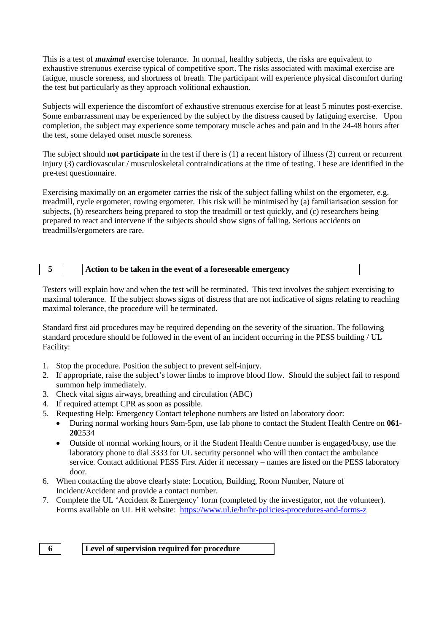This is a test of *maximal* exercise tolerance. In normal, healthy subjects, the risks are equivalent to exhaustive strenuous exercise typical of competitive sport. The risks associated with maximal exercise are fatigue, muscle soreness, and shortness of breath. The participant will experience physical discomfort during the test but particularly as they approach volitional exhaustion.

Subjects will experience the discomfort of exhaustive strenuous exercise for at least 5 minutes post-exercise. Some embarrassment may be experienced by the subject by the distress caused by fatiguing exercise. Upon completion, the subject may experience some temporary muscle aches and pain and in the 24-48 hours after the test, some delayed onset muscle soreness.

The subject should **not participate** in the test if there is (1) a recent history of illness (2) current or recurrent injury (3) cardiovascular / musculoskeletal contraindications at the time of testing. These are identified in the pre-test questionnaire.

Exercising maximally on an ergometer carries the risk of the subject falling whilst on the ergometer, e.g. treadmill, cycle ergometer, rowing ergometer. This risk will be minimised by (a) familiarisation session for subjects, (b) researchers being prepared to stop the treadmill or test quickly, and (c) researchers being prepared to react and intervene if the subjects should show signs of falling. Serious accidents on treadmills/ergometers are rare.

#### **5 Action to be taken in the event of a foreseeable emergency**

Testers will explain how and when the test will be terminated. This text involves the subject exercising to maximal tolerance. If the subject shows signs of distress that are not indicative of signs relating to reaching maximal tolerance, the procedure will be terminated.

Standard first aid procedures may be required depending on the severity of the situation. The following standard procedure should be followed in the event of an incident occurring in the PESS building / UL Facility:

- 1. Stop the procedure. Position the subject to prevent self-injury.
- 2. If appropriate, raise the subject's lower limbs to improve blood flow. Should the subject fail to respond summon help immediately.
- 3. Check vital signs airways, breathing and circulation (ABC)
- 4. If required attempt CPR as soon as possible.
- 5. Requesting Help: Emergency Contact telephone numbers are listed on laboratory door:
	- During normal working hours 9am-5pm, use lab phone to contact the Student Health Centre on **061- 20**2534
	- Outside of normal working hours, or if the Student Health Centre number is engaged/busy, use the laboratory phone to dial 3333 for UL security personnel who will then contact the ambulance service. Contact additional PESS First Aider if necessary – names are listed on the PESS laboratory door.
- 6. When contacting the above clearly state: Location, Building, Room Number, Nature of Incident/Accident and provide a contact number.
- 7. Complete the UL 'Accident & Emergency' form (completed by the investigator, not the volunteer). Forms available on UL HR website: <https://www.ul.ie/hr/hr-policies-procedures-and-forms-z>

#### **6 Level of supervision required for procedure**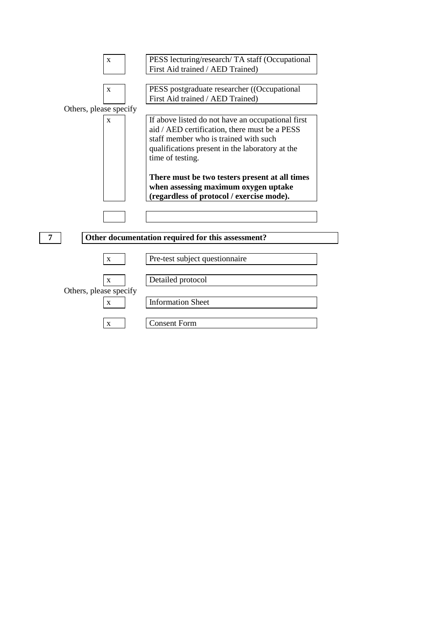